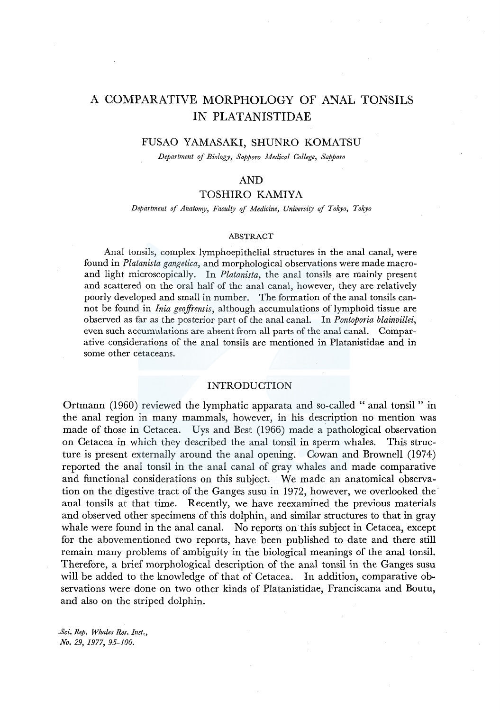# A COMPARATIVE MORPHOLOGY OF ANAL TONSILS IN PLATANISTIDAE

# FUSAO YAMASAKI, SHUNRO KOMATSU

*Department of Biology, Sapporo Medical College, Sapporo* 

# AND

# TOSHIRO KAMIYA

*Department of Anatomy, Faculty of Medicine, University of Tokyo, Tokyo* 

#### ABSTRACT

Anal tonsils, complex lymphoepithelial structures in the anal canal, were found in *Platanista gangetica,* and morphological observations were made macroand light microscopically. In *Platanista,* the anal tonsils are mainly present and scattered on the oral half of the anal canal, however, they are relatively poorly developed and small in number. The formation of the anal tonsils cannot be found in *Inia geoffrensis,* although accumulations of lymphoid tissue are observed as far as the posterior part of the anal canal. In *Pontoporia blainvillei,*  even such accumulations are absent from all parts of the anal canal. Comparative considerations of the anal tonsils are mentioned in Platanistidae and in some other cetaceans.

# INTRODUCTION

Ortmann (1960) reviewed the lymphatic apparata and so-called "anal tonsil" in the anal region in many mammals, however, in his description no mention was made of those in Cetacea. Uys and Best (1966) made a pathological observation on Cetacea in which they described the anal tonsil in sperm whales. This structure is present externally around the anal opening. Cowan and Brownell (1974) reported the anal tonsil in the anal canal of gray whales and made comparative and functional considerations on this subject. We made an anatomical observation on the digestive tract of the Ganges susu in 1972, however, we overlooked the· anal tonsils at that time. Recently, we have reexamined the previous materials and observed other specimens of this dolphin, and similar structures to that in gray whale were found in the anal canal. No reports on this subject in Cetacea, except for the abovementioned two reports, have been published to date and there still remain many problems of ambiguity in the biological meanings of the anal tonsil. Therefore, a brief morphological description of the anal tonsil in the Ganges susu will be added to the knowledge of that of Cetacea. In addition, comparative observations were done on two other kinds of Platanistidae, Franciscana and Boutu, and also on the striped dolphin.

*. Sci. Rep. Whales Res. Inst., No. 29, 1977, 95-100.*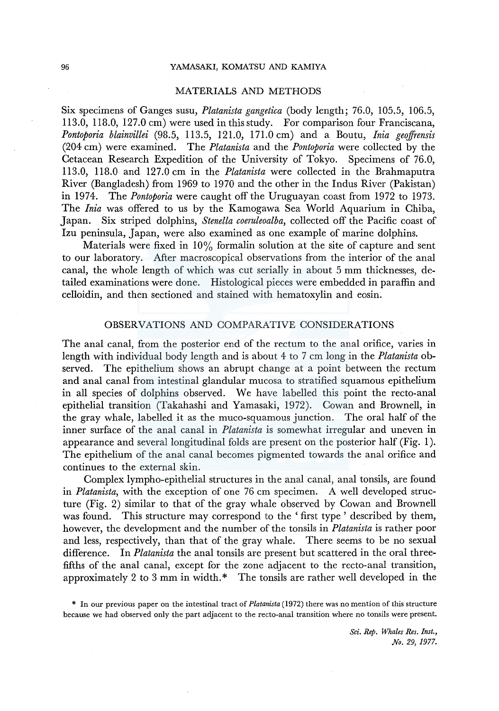#### 96 YAMASAKI, KOMATSU AND KAMIYA

### MATERIALS AND METHODS

Six specimens of Ganges susu, *Platanista gangetica* (body length; 76.0, 105.5, 106.5, 113.0, 118.0, 127.0 cm) were used in this study. For comparison four Franciscana, *Pontoporia blainvillei* (98.5, 113.5, 121.0, 171.0 cm) and a Boutu, *lnia geoffrensis*  (204 cm) were examined. The *Platanista* and the *Pontoporia* were collected by the Cetacean Research Expedition of the University of Tokyo. Specimens of 76.0, 113.0, 118.0 and 127.0 cm in the *Platanista* were collected in the Brahmaputra River (Bangladesh) from 1969 to 1970 and the other in the lndus River (Pakistan) in 1974. The *Pontoporia* were caught off the Uruguayan coast from 1972 to 1973. The *lnia* was offered to us by the Kamogawa Sea World Aquarium in Chiba, Japan. Six striped dolphins, *Stenella coeruleoalba,* collected off the Pacific coast of Izu peninsula, Japan, were also examined as one example of marine dolphins.

Materials were fixed in 10% formalin solution at the site of capture and sent to our laboratory. After macroscopical observations from the interior of the anal canal, the whole length of which was cut serially in about 5 mm thicknesses, detailed examinations were done. Histological pieces were embedded in paraffin and celloidin, and then sectioned and stained with hematoxylin and eosin.

#### OBSERVATIONS AND COMPARATIVE CONSIDERATIONS

The anal canal, from the posterior end of the rectum to the anal orifice, varies in length with individual body length and is about 4 to 7 cm long in the *Platanista* observed. The epithelium shows an abrupt change at a point between the rectum and anal canal from intestinal glandular mucosa to stratified squamous epithelium in all species of dolphins observed. We have labelled this point the recto-anal epithelial transition (Takahashi and Yamasaki, 1972). Cowan and Brownell, in the gray whale, labelled it as the muco-squamous junction. The oral half of the inner surface of the anal canal in *Platanista* is somewhat irregular and uneven in appearance and several longitudinal folds are present on the posterior half (Fig. 1 ). The epithelium of the anal canal becomes pigmented towards the anal orifice and continues to the external skin.

Complex lympho-epithelial structures in the anal canal, anal tonsils, are found in *Platanista,* with the exception of one 76 cm specimen. A well developed structure (Fig. 2) similar to that of the gray whale observed by Cowan and Brownell was found. This structure may correspond to the 'first type' described by them, however, the development and the number of the tonsils in *Platanista* is rather poor and less, respectively, than that of the gray whale. There seems to be no sexual difference. In *Platanista* the anal tonsils are present but scattered in the oral threefifths of the anal canal, except for the zone adjacent to the recto-anal transition, approximately 2 to 3 mm in width.\* The tonsils are rather well developed in the

\* In our previous paper on the intestinal tract of *Platanista* (1972) there was no mention of this structure because we had observed only the part adjacent to the recto-anal transition where no tonsils were present.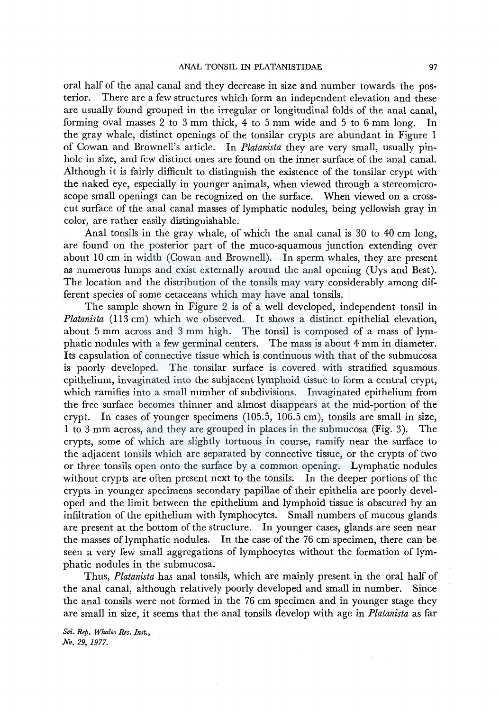#### ANAL TONSIL IN PLATANISTIDAE 97

oral half of the anal canal and they decrease in size and number towards the posterior. There are a few structures which form an independent elevation and these are usually found grouped in the irregular or longitudinal folds of the anal canal, forming oval masses 2 to 3 mm thick, 4 to 5 mm wide and 5 to 6 mm long. In the gray whale, distinct openings of the tonsilar crypts are abundant in Figure 1 of Cowan and Brownell's article. In *Platanista* they are very small, usually pinhole in size, and few distinct ones are found on the inner surface of the anal canal. Although it is fairly difficult to distinguish the existence of the tonsilar crypt with the naked eye, especially in younger animals, when viewed through a stereomicroscope small openings can be recognized on the surface. When viewed on a crosscut surface of the anal canal masses of lymphatic nodules, being yellowish gray in color, are rather easily distinguishable.

Anal tonsils in the gray whale, of which the anal canal is 30 to 40 cm long, are found on the posterior part of the muco-squamous junction extending over about 10 cm in width (Cowan and Brownell). In sperm whales, they are present as numerous lumps and exist externally around the anal opening (Uys and Best). The location and the distribution of the tonsils may vary considerably among different species of some cetaceans which may have anal tonsils.

The sample shown in Figure 2 is of a well developed, independent tonsil in *Platanista* (113 cm) which we observed. It shows a distinct epithelial elevation, about 5 mm across and 3 mm high. The tonsil is composed of a mass of lymphatic nodules with a few germinal centers. The mass is about 4 mm in diameter. Its capsulation of connective tissue which is continuous with that of the submucosa is poorly developed. The tonsilar surface is covered with stratified squamous epithelium, invaginated into the subjacent lymphoid tissue to form a central crypt, which ramifies into a small number of subdivisions. Invaginated epithelium from the free surface becomes thinner and almost disappears at the mid-portion of the crypt. In cases of younger specimens (105.5, 106.5 cm), tonsils are small in size, 1 to 3 mm across, and they are grouped in places in the submucosa (Fig. 3). The crypts, some of which are slightly tortuous in course, ramify near the surface to the adjacent tonsils which are separated by connective tissue, or the crypts of two or three tonsils open onto the surface by a common opening. Lymphatic nodules without crypts are often present next to the tonsils. In the deeper portions of the crypts in younger specimens secondary papillae of their epithelia are poorly developed and the limit between the epithelium and lymphoid tissue is obscured by an infiltration of the epithelium with lymphocytes. Small numbers of mucous glands are present at the bottom of the structure. In younger cases, glands are seen near the masses of lymphatic nodules. In the case of the 76 cm specimen, there can be seen a very few small aggregations of lymphocytes without the formation of lymphatic nodules in the submucosa.

Thus, *Platanista* has anal tonsils, which are mainly present in the oral half of the anal canal, although relatively poorly developed and small in number. Since the anal tonsils were not formed in the 76 cm specimen and in younger stage they are small in size, it seems that the anal tonsils develop with age in *Platanista* as far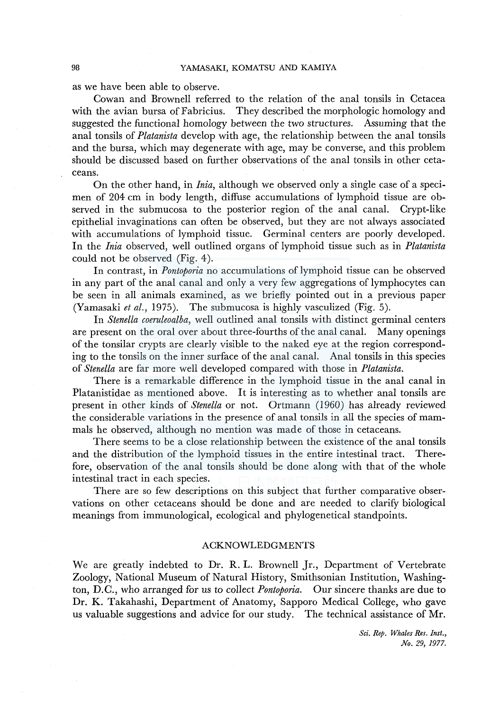as we have been able to observe.

Cowan and Brownell referred to the relation of the anal tonsils in Cetacea with the avian bursa of Fabricius. They described the morphologic homology and suggested the functional homology between the two structures. Assuming that the anal tonsils of *Platanista* develop with age, the relationship between the anal tonsils and the bursa, which may degenerate with age, may be converse, and this problem should be discussed based on further observations of the anal tonsils in other cetaceans.

On the other hand, in *Inia,* although we observed only a single case of a specimen of 204 cm in body length, diffuse accumulations of lymphoid tissue are observed in the submucosa to the posterior region of the anal canal. Crypt-like epithelial invaginations can often be observed, but they are not always associated with accumulations of lymphoid tissue. Germinal centers are poorly developed. In the *Inia* observed, well outlined organs of lymphoid tissue such as in *Platanista*  could not be observed (Fig. 4).

In contrast, in *Pontoporia* no accumulations of lymphoid tissue can be observed in any part of the anal canal and only a very few aggregations of lymphocytes can be seen in all animals examined, as we briefly pointed out in a previous paper (Yamasaki *et al.,* 1975). The submucosa is highly vasculized (Fig. 5).

In *Stenella coeruleoalba,* well outlined anal tonsils with distinct germinal centers are present on the oral over about three-fourths of the anal canal. Many openings of the tonsilar crypts are clearly visible to the naked eye at the region corresponding to the tonsils on the inner surface of the anal canal. Anal tonsils in this species of *Stenella* are far more well developed compared with those in *Platanista.* 

There is a remarkable difference in the lymphoid tissue in the anal canal in Platanistidae as mentioned above. It is interesting as to whether anal tonsils are present in other kinds of *Stenella* or not. Ortmann (1960) has already reviewed the considerable variations in the presence of anal tonsils in all the species of mammals he observed, although no mention was made of those in cetaceans.

There seems to be a close relationship between the existence of the anal tonsils and the distribution of the lymphoid tissues in the entire intestinal tract. Therefore, observation of the anal tonsils should be done along with that of the whole intestinal tract in each species.

There are so few descriptions on this subject that further comparative observations on other cetaceans should be done and are needed to clarify biological meanings from immunological, ecological and phylogenetical standpoints.

# ACKNOWLEDGMENTS

We are greatly indebted to Dr. R. L. Brownell Jr., Department of Vertebrate Zoology, National Museum of Natural History, Smithsonian Institution, Washington, D.C., who arranged for us to collect *Pontoporia.* Our sincere thanks are due to Dr. K. Takahashi, Department of Anatomy, Sapporo Medical College, who gave us valuable suggestions and advice for our study. The technical assistance of Mr.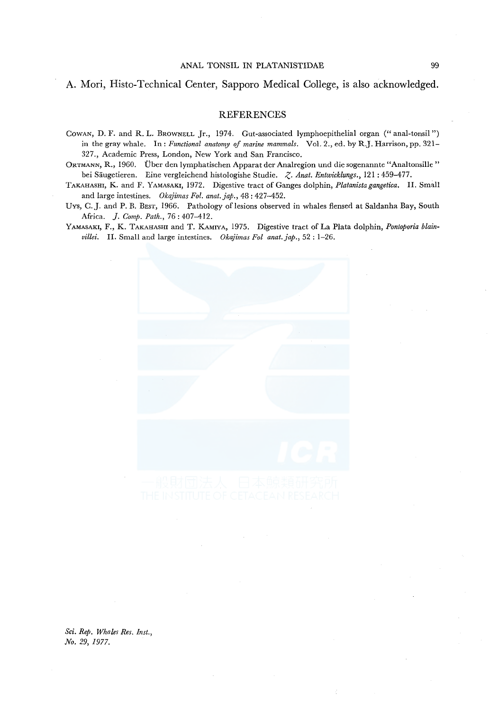#### ANAL TONSIL IN PLATANISTIDAE 99

## A. Mori, Risto-Technical Center, Sapporo Medical College, is also acknowledged.

## **REFERENCES**

- COWAN, D. F. and R. L. BROWNELL Jr., 1974. Gut-associated lymphoepithelial organ ("anal-tonsil") in the gray whale. In: *Functional anatomy of marine mammals.* Vol. 2., ed. by R.J. Harrison, pp. 321- 327., Academic Press, London, New York and San Francisco.
- ORTMANN, R., 1960. Uber den lymphatischen Apparat der Analregion und die sogenannte "Analtonsille" bei Säugetieren. Eine vergleichend histologishe Studie. Z. Anat. Entwicklungs., 121: 459-477.
- TAKAHASHI, K. and F. YAMASAKI, 1972. Digestive tract of Ganges dolphin, *Platanistagangetica.* II. Small and large intestines. *Okajimas Fol. anat.jap.,* 48: 427-452.
- Uys, C.J. and P. B. BEST, 1966. Pathology of lesions observed in whales flensed at Saldanha Bay, South Africa. *]. Comp. Path.,* 76: 407-412.
- YAMASAKI, F., K. TAKAHASHI and T. KAMIYA, 1975. Digestive tract of La Plata dolphin, *Pontoporia blainvillei.* II. Small and large intestines. *Okajimas Fol anat.jap.,* 52: 1-26.

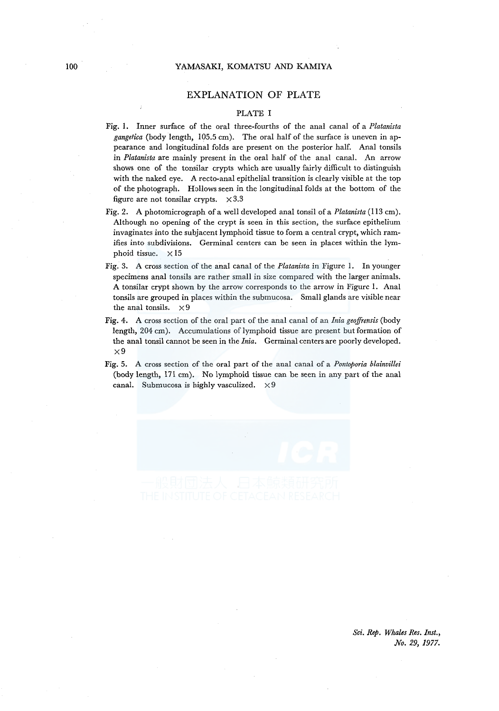## EXPLANATION OF PLATE

#### PLATE I

- Fig. I. Inner surface of the oral three-fourths of the anal canal of a *Platanista gangetica* (body length, 105.5 cm). The oral half of the surface is uneven in appearance and longitudinal folds are present on the posterior half. Anal tonsils in *Platanista* are mainly present in the oral half of the anal canal. An arrow shows one of the tonsilar crypts which are usually fairly difficult to distinguish with the naked eye. A recto-anal epithelial transition is clearly visible at the top of the photograph. Hollows seen in the longitudinal folds at the bottom of the figure are not tonsilar crypts.  $\times 3.3$
- Fig. 2. A photomicrograph of a well developed anal tonsil of a *Platanista* (113 cm). Although no opening of the crypt is seen in this section, the surface epithelium invaginates into the subjacent lymphoid tissue to form a central crypt, which ramifies into subdivisions. Germinal centers can be seen in places within the lymphoid tissue.  $\times 15$
- Fig. 3. A cross section of the anal canal of the *Platanista* in Figure 1. In younger specimens anal tonsils are rather small in size compared with the larger animals. A tonsilar crypt shown by the arrow corresponds to the arrow in Figure 1. Anal tonsils are grouped in places within the submucosa. Small glands are visible near the anal tonsils.  $\times 9$
- Fig. 4. A cross section of the oral part of the anal canal of an *lnia geojfrensis* (body length, 204 cm). Accumulations of lymphoid tissue are present but formation of the anal tonsil cannot be seen in the *lnia.* Germinal centers are poorly developed.  $\times$ 9
- Fig. 5. A cross section of the oral part of the anal canal of a *Pontoporia blainvillei*  (body length, 171 cm). No lymphoid tissue can be seen in any part of the anal canal. Submucosa is highly vasculized.  $\times 9$